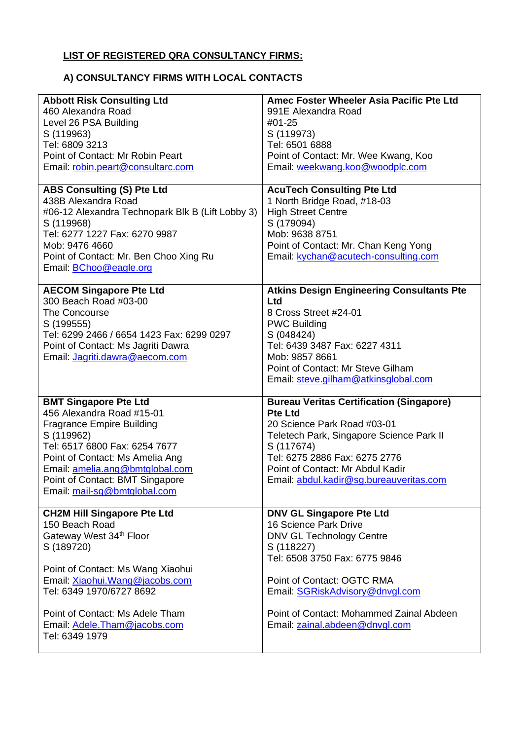## **LIST OF REGISTERED QRA CONSULTANCY FIRMS:**

## **A) CONSULTANCY FIRMS WITH LOCAL CONTACTS**

| <b>Abbott Risk Consulting Ltd</b><br>460 Alexandra Road<br>Level 26 PSA Building<br>S (119963)<br>Tel: 6809 3213<br>Point of Contact: Mr Robin Peart<br>Email: robin.peart@consultarc.com                                                                                              | Amec Foster Wheeler Asia Pacific Pte Ltd<br>991E Alexandra Road<br>#01-25<br>S (119973)<br>Tel: 6501 6888<br>Point of Contact: Mr. Wee Kwang, Koo<br>Email: weekwang.koo@woodplc.com                                                                                                      |
|----------------------------------------------------------------------------------------------------------------------------------------------------------------------------------------------------------------------------------------------------------------------------------------|-------------------------------------------------------------------------------------------------------------------------------------------------------------------------------------------------------------------------------------------------------------------------------------------|
| <b>ABS Consulting (S) Pte Ltd</b><br>438B Alexandra Road<br>#06-12 Alexandra Technopark Blk B (Lift Lobby 3)<br>S (119968)<br>Tel: 6277 1227 Fax: 6270 9987<br>Mob: 9476 4660<br>Point of Contact: Mr. Ben Choo Xing Ru<br>Email: <b>BChoo@eagle.org</b>                               | <b>AcuTech Consulting Pte Ltd</b><br>1 North Bridge Road, #18-03<br><b>High Street Centre</b><br>S (179094)<br>Mob: 9638 8751<br>Point of Contact: Mr. Chan Keng Yong<br>Email: kychan@acutech-consulting.com                                                                             |
| <b>AECOM Singapore Pte Ltd</b><br>300 Beach Road #03-00<br>The Concourse<br>S (199555)<br>Tel: 6299 2466 / 6654 1423 Fax: 6299 0297<br>Point of Contact: Ms Jagriti Dawra<br>Email: Jagriti.dawra@aecom.com                                                                            | <b>Atkins Design Engineering Consultants Pte</b><br><b>Ltd</b><br>8 Cross Street #24-01<br><b>PWC Building</b><br>S (048424)<br>Tel: 6439 3487 Fax: 6227 4311<br>Mob: 9857 8661<br>Point of Contact: Mr Steve Gilham<br>Email: steve.gilham@atkinsglobal.com                              |
| <b>BMT Singapore Pte Ltd</b><br>456 Alexandra Road #15-01<br><b>Fragrance Empire Building</b><br>S (119962)<br>Tel: 6517 6800 Fax: 6254 7677<br>Point of Contact: Ms Amelia Ang<br>Email: amelia.ang@bmtglobal.com<br>Point of Contact: BMT Singapore<br>Email: mail-sg@bmtglobal.com  | <b>Bureau Veritas Certification (Singapore)</b><br><b>Pte Ltd</b><br>20 Science Park Road #03-01<br>Teletech Park, Singapore Science Park II<br>S (117674)<br>Tel: 6275 2886 Fax: 6275 2776<br>Point of Contact: Mr Abdul Kadir<br>Email: abdul.kadir@sg.bureauveritas.com                |
| <b>CH2M Hill Singapore Pte Ltd</b><br>150 Beach Road<br>Gateway West 34th Floor<br>S (189720)<br>Point of Contact: Ms Wang Xiaohui<br>Email: Xiaohui. Wang@jacobs.com<br>Tel: 6349 1970/6727 8692<br>Point of Contact: Ms Adele Tham<br>Email: Adele.Tham@jacobs.com<br>Tel: 6349 1979 | <b>DNV GL Singapore Pte Ltd</b><br>16 Science Park Drive<br><b>DNV GL Technology Centre</b><br>S (118227)<br>Tel: 6508 3750 Fax: 6775 9846<br>Point of Contact: OGTC RMA<br>Email: SGRiskAdvisory@dnvgl.com<br>Point of Contact: Mohammed Zainal Abdeen<br>Email: zainal.abdeen@dnvgl.com |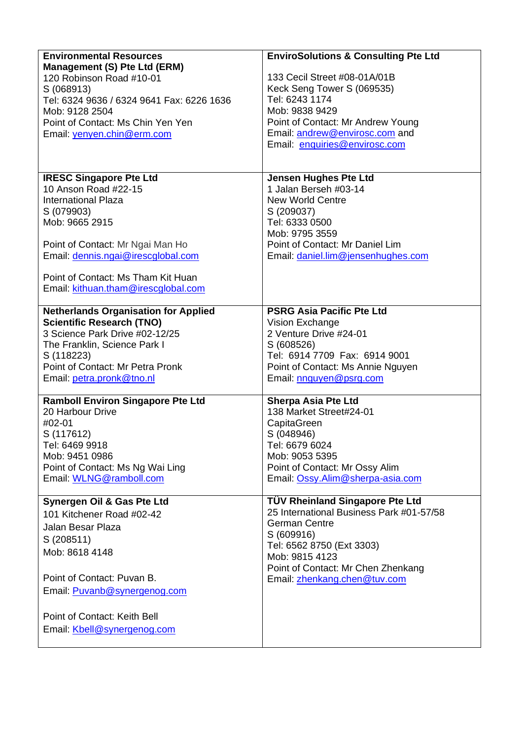| <b>Environmental Resources</b>              | <b>EnviroSolutions &amp; Consulting Pte Ltd</b> |
|---------------------------------------------|-------------------------------------------------|
| Management (S) Pte Ltd (ERM)                |                                                 |
| 120 Robinson Road #10-01                    | 133 Cecil Street #08-01A/01B                    |
| S (068913)                                  | Keck Seng Tower S (069535)                      |
| Tel: 6324 9636 / 6324 9641 Fax: 6226 1636   | Tel: 6243 1174                                  |
| Mob: 9128 2504                              | Mob: 9838 9429                                  |
| Point of Contact: Ms Chin Yen Yen           | Point of Contact: Mr Andrew Young               |
| Email: yenyen.chin@erm.com                  | Email: andrew@envirosc.com and                  |
|                                             | Email: enquiries@envirosc.com                   |
|                                             |                                                 |
| <b>IRESC Singapore Pte Ltd</b>              | <b>Jensen Hughes Pte Ltd</b>                    |
| 10 Anson Road #22-15                        | 1 Jalan Berseh #03-14                           |
| <b>International Plaza</b>                  | <b>New World Centre</b>                         |
| S (079903)                                  | S (209037)                                      |
| Mob: 9665 2915                              | Tel: 6333 0500                                  |
|                                             | Mob: 9795 3559                                  |
| Point of Contact: Mr Ngai Man Ho            | Point of Contact: Mr Daniel Lim                 |
| Email: dennis.ngai@irescglobal.com          | Email: daniel.lim@jensenhughes.com              |
|                                             |                                                 |
| Point of Contact: Ms Tham Kit Huan          |                                                 |
| Email: kithuan.tham@irescqlobal.com         |                                                 |
| <b>Netherlands Organisation for Applied</b> | <b>PSRG Asia Pacific Pte Ltd</b>                |
| <b>Scientific Research (TNO)</b>            | Vision Exchange                                 |
| 3 Science Park Drive #02-12/25              | 2 Venture Drive #24-01                          |
| The Franklin, Science Park I                | S (608526)                                      |
| S (118223)                                  | Tel: 6914 7709 Fax: 6914 9001                   |
| Point of Contact: Mr Petra Pronk            | Point of Contact: Ms Annie Nguyen               |
| Email: petra.pronk@tno.nl                   | Email: nnguyen@psrg.com                         |
| <b>Ramboll Environ Singapore Pte Ltd</b>    | <b>Sherpa Asia Pte Ltd</b>                      |
| 20 Harbour Drive                            | 138 Market Street#24-01                         |
| #02-01                                      | CapitaGreen                                     |
| S (117612)                                  | S (048946)                                      |
| Tel: 6469 9918                              | Tel: 6679 6024                                  |
| Mob: 9451 0986                              | Mob: 9053 5395                                  |
| Point of Contact: Ms Ng Wai Ling            | Point of Contact: Mr Ossy Alim                  |
| Email: WLNG@ramboll.com                     | Email: Ossy.Alim@sherpa-asia.com                |
| Synergen Oil & Gas Pte Ltd                  | <b>TÜV Rheinland Singapore Pte Ltd</b>          |
| 101 Kitchener Road #02-42                   | 25 International Business Park #01-57/58        |
|                                             | <b>German Centre</b>                            |
| Jalan Besar Plaza                           | S (609916)                                      |
| S (208511)                                  | Tel: 6562 8750 (Ext 3303)                       |
| Mob: 8618 4148                              | Mob: 9815 4123                                  |
|                                             | Point of Contact: Mr Chen Zhenkang              |
| Point of Contact: Puvan B.                  | Email: zhenkang.chen@tuv.com                    |
| Email: <b>Puvanb@synergenog.com</b>         |                                                 |
|                                             |                                                 |
| Point of Contact: Keith Bell                |                                                 |
| Email: Kbell@synergenog.com                 |                                                 |
|                                             |                                                 |